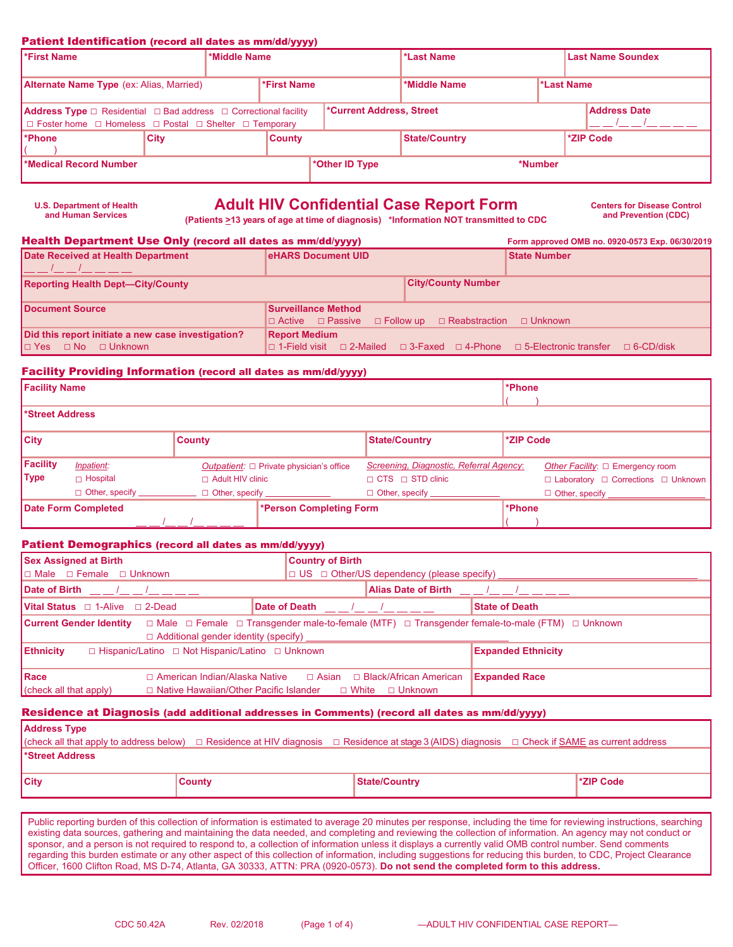### Patient Identification (record all dates as mm/dd/yyyy)

**U.S. Department of Health** 

| <b>*First Name</b>                                                                                                                                                         |             | *Middle Name |                |                                                        | *Last Name                 |  |  | <b>Last Name Soundex</b> |  |
|----------------------------------------------------------------------------------------------------------------------------------------------------------------------------|-------------|--------------|----------------|--------------------------------------------------------|----------------------------|--|--|--------------------------|--|
| <b>Alternate Name Type</b> (ex: Alias, Married)                                                                                                                            |             |              | *First Name    |                                                        | *Last Name<br>*Middle Name |  |  |                          |  |
| <b>Address Type</b> $\Box$ Residential $\Box$ Bad address $\Box$ Correctional facility<br>$\Box$ Foster home $\Box$ Homeless $\Box$ Postal $\Box$ Shelter $\Box$ Temporary |             |              |                | <b>Address Date</b><br><b>*Current Address, Street</b> |                            |  |  |                          |  |
| l*Phone∶                                                                                                                                                                   | <b>City</b> |              | <b>County</b>  |                                                        | <b>State/Country</b>       |  |  | *ZIP Code                |  |
| Medical Record Number                                                                                                                                                      |             |              | *Other ID Type |                                                        | *Number                    |  |  |                          |  |

# **Adult HIV Confidential Case Report Form** Centers for Disease Control **Case Control Case Report Form** and Prevention (CDC)

**and Prevention (CDC) (Patients >13 years of age at time of diagnosis) \*Information NOT transmitted to CDC**

| Health Department Use Only (record all dates as mm/dd/yyyy)                  | Form approved OMB no. 0920-0573 Exp. 06/30/2019                                                                         |                           |                     |                  |  |
|------------------------------------------------------------------------------|-------------------------------------------------------------------------------------------------------------------------|---------------------------|---------------------|------------------|--|
| Date Received at Health Department                                           | <b>eHARS Document UID</b>                                                                                               |                           | <b>State Number</b> |                  |  |
| <b>Reporting Health Dept-City/County</b>                                     |                                                                                                                         | <b>City/County Number</b> |                     |                  |  |
| Document Source                                                              | <b>Surveillance Method</b><br>$\Box$ Active $\Box$ Passive $\Box$ Follow up $\Box$ Reabstraction                        |                           | □ Unknown           |                  |  |
| Did this report initiate a new case investigation?<br>In Yes no no D Unknown | <b>Report Medium</b><br>$\Box$ 1-Field visit $\Box$ 2-Mailed $\Box$ 3-Faxed $\Box$ 4-Phone $\Box$ 5-Electronic transfer |                           |                     | $\Box$ 6-CD/disk |  |

### Facility Providing Information (record all dates as mm/dd/yyyy)

| <b>Facility Name</b>        |                       |                         |                                               |                                         | l*Phone       |                                                     |
|-----------------------------|-----------------------|-------------------------|-----------------------------------------------|-----------------------------------------|---------------|-----------------------------------------------------|
| Street Address <sup>*</sup> |                       |                         |                                               |                                         |               |                                                     |
| <b>City</b>                 |                       | <b>County</b>           |                                               | <b>State/Country</b>                    | *ZIP Code     |                                                     |
| Facility                    | <i>Inpatient:</i>     |                         | Outpatient: $\Box$ Private physician's office | Screening, Diagnostic, Referral Agency: |               | Other Facility: $\Box$ Emergency room               |
| <b>Type</b>                 | $\sqcap$ Hospital     | $\Box$ Adult HIV clinic |                                               | $\Box$ CTS $\Box$ STD clinic            |               | $\Box$ Laboratory $\Box$ Corrections $\Box$ Unknown |
|                             | $\Box$ Other, specify | $\Box$ Other, specify   |                                               | Other, specify _____                    |               | $\Box$ Other, specify $\Box$                        |
|                             | Date Form Completed   |                         | *Person Completing Form                       |                                         | <b>*Phone</b> |                                                     |
|                             |                       |                         |                                               |                                         |               |                                                     |

### Patient Demographics (record all dates as mm/dd/yyyy)

| <b>Sex Assigned at Birth</b>                                                                                                                                                                           | <b>Country of Birth</b>                                                                                                                                      |                       |
|--------------------------------------------------------------------------------------------------------------------------------------------------------------------------------------------------------|--------------------------------------------------------------------------------------------------------------------------------------------------------------|-----------------------|
| $\Box$ Male $\Box$ Female $\Box$ Unknown                                                                                                                                                               | □ US □ Other/US dependency (please specify) __________________________________                                                                               |                       |
| Date of Birth $\_\_\_\_\_\_\_\_\_\_\_\_\_\_\_\_\_\_\_$                                                                                                                                                 |                                                                                                                                                              |                       |
| <b>Vital Status</b> $\Box$ 1-Alive $\Box$ 2-Dead                                                                                                                                                       |                                                                                                                                                              | <b>State of Death</b> |
| <b>Current Gender Identity</b> $\Box$ Male $\Box$ Female $\Box$ Transgender male-to-female (MTF) $\Box$ Transgender female-to-male (FTM) $\Box$ Unknown<br>$\Box$ Additional gender identity (specify) |                                                                                                                                                              |                       |
| <b>Ethnicity</b><br>$\Box$ Hispanic/Latino $\Box$ Not Hispanic/Latino $\Box$ Unknown                                                                                                                   | <b>Expanded Ethnicity</b>                                                                                                                                    |                       |
| <b>IRace</b><br>$\vert$ (check all that apply)                                                                                                                                                         | $\Box$ American Indian/Alaska Native $\Box$ Asian $\Box$ Black/African American<br>$\Box$ Native Hawaiian/Other Pacific Islander $\Box$ White $\Box$ Unknown | <b>Expanded Race</b>  |

### Residence at Diagnosis (add additional addresses in Comments) (record all dates as mm/dd/yyyy)

| <b>Address Type</b>   |        |                                                                                                                                                 |                  |
|-----------------------|--------|-------------------------------------------------------------------------------------------------------------------------------------------------|------------------|
|                       |        | (check all that apply to address below) □ Residence at HIV diagnosis □ Residence at stage 3 (AIDS) diagnosis □ Check if SAME as current address |                  |
| <b>Street Address</b> |        |                                                                                                                                                 |                  |
| $ $ City              | County | <b>State/Country</b>                                                                                                                            | <b>TziP Code</b> |

Public reporting burden of this collection of information is estimated to average 20 minutes per response, including the time for reviewing instructions, searching existing data sources, gathering and maintaining the data needed, and completing and reviewing the collection of information. An agency may not conduct or sponsor, and a person is not required to respond to, a collection of information unless it displays a currently valid OMB control number. Send comments regarding this burden estimate or any other aspect of this collection of information, including suggestions for reducing this burden, to CDC, Project Clearance Officer, 1600 Clifton Road, MS D-74, Atlanta, GA 30333, ATTN: PRA (0920-0573). **Do not send the completed form to this address.**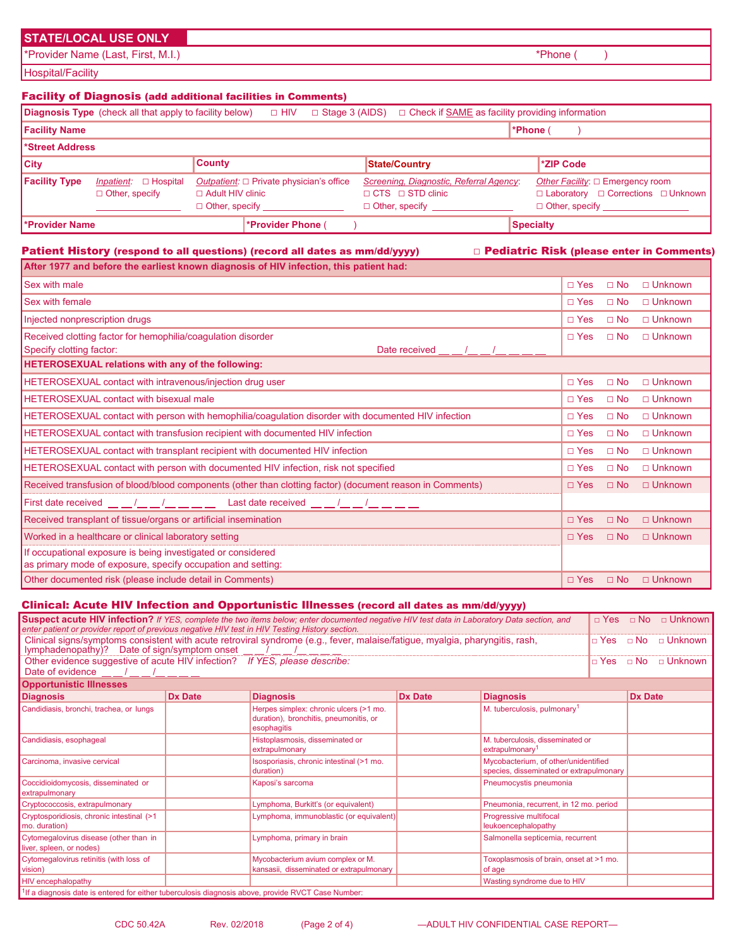# **STATE/LOCAL USE ONLY**

\*Provider Name (Last, First, M.I.) \*Phone ( )

Hospital/Facility

# Facility of Diagnosis (add additional facilities in Comments)

|                             | <b>Diagnosis Type</b> (check all that apply to facility below) $\Box$ HIV |                         |                                                                   | $\Box$ Stage 3 (AIDS) |  | $\Box$ Check if SAME as facility providing information                                               |                  |                                                                                                                      |
|-----------------------------|---------------------------------------------------------------------------|-------------------------|-------------------------------------------------------------------|-----------------------|--|------------------------------------------------------------------------------------------------------|------------------|----------------------------------------------------------------------------------------------------------------------|
| <b>Facility Name</b>        |                                                                           |                         |                                                                   |                       |  |                                                                                                      | *Phone (         |                                                                                                                      |
| Street Address <sup>*</sup> |                                                                           |                         |                                                                   |                       |  |                                                                                                      |                  |                                                                                                                      |
| <b>City</b>                 |                                                                           | <b>County</b>           |                                                                   |                       |  | State/Country                                                                                        |                  | *ZIP Code                                                                                                            |
| <b>Facility Type</b>        | <i>Inpatient:</i> $\Box$ Hospital<br>$\Box$ Other, specify                | $\Box$ Adult HIV clinic | Outpatient: □ Private physician's office<br>$\Box$ Other, specify |                       |  | Screening, Diagnostic, Referral Agency:<br>$\sqcap$ CTS $\sqcap$ STD clinic<br>$\Box$ Other, specify |                  | Other Facility: $\square$ Emergency room<br>□ Laboratory □ Corrections □ Unknown<br>Other, specify _________________ |
| l*Provider Name             |                                                                           |                         | *Provider Phone (                                                 |                       |  |                                                                                                      | <b>Specialty</b> |                                                                                                                      |

# 。<br>Patient History (respond to all questions) (record all dates as mm/dd/yyyy) □ Pediatric Risk (please enter in Comments)

| After 1977 and before the earliest known diagnosis of HIV infection, this patient had:                                                                                                                                 |            |           |                |
|------------------------------------------------------------------------------------------------------------------------------------------------------------------------------------------------------------------------|------------|-----------|----------------|
| <b>Sex with male</b>                                                                                                                                                                                                   | $\Box$ Yes | $\Box$ No | □ Unknown      |
| <b>Sex with female</b>                                                                                                                                                                                                 | $\Box$ Yes | $\Box$ No | $\Box$ Unknown |
| Injected nonprescription drugs                                                                                                                                                                                         | $\Box$ Yes | $\Box$ No | □ Unknown      |
| Received clotting factor for hemophilia/coagulation disorder<br>Date received $\underline{\qquad}$ $\underline{\qquad}$ / $\underline{\qquad}$ / $\underline{\qquad}$ $\underline{\qquad}$<br>Specify clotting factor: | $\Box$ Yes | $\Box$ No | $\Box$ Unknown |
| HETEROSEXUAL relations with any of the following:                                                                                                                                                                      |            |           |                |
| HETEROSEXUAL contact with intravenous/injection drug user                                                                                                                                                              | $\Box$ Yes | $\Box$ No | $\Box$ Unknown |
| <b>HETEROSEXUAL contact with bisexual male</b>                                                                                                                                                                         | $\Box$ Yes | $\Box$ No | $\Box$ Unknown |
| HETEROSEXUAL contact with person with hemophilia/coagulation disorder with documented HIV infection                                                                                                                    | $\Box$ Yes | $\Box$ No | $\Box$ Unknown |
| <b>HETEROSEXUAL contact with transfusion recipient with documented HIV infection</b>                                                                                                                                   | $\Box$ Yes | $\Box$ No | □ Unknown      |
| HETEROSEXUAL contact with transplant recipient with documented HIV infection                                                                                                                                           | $\Box$ Yes | $\Box$ No | □ Unknown      |
| HETEROSEXUAL contact with person with documented HIV infection, risk not specified                                                                                                                                     | $\Box$ Yes | $\Box$ No | $\Box$ Unknown |
| Received transfusion of blood/blood components (other than clotting factor) (document reason in Comments)                                                                                                              | $\Box$ Yes | $\Box$ No | □ Unknown      |
| First date received __ _/_ _/_ __ /_ _ _ Last date received _ _ /_ _ /_ _ _ _                                                                                                                                          |            |           |                |
| Received transplant of tissue/organs or artificial insemination                                                                                                                                                        | $\Box$ Yes | $\Box$ No | $\Box$ Unknown |
| Worked in a healthcare or clinical laboratory setting                                                                                                                                                                  | $\Box$ Yes | $\Box$ No | □ Unknown      |
| If occupational exposure is being investigated or considered<br>as primary mode of exposure, specify occupation and setting:                                                                                           |            |           |                |
| Other documented risk (please include detail in Comments)                                                                                                                                                              | $\Box$ Yes | $\Box$ No | □ Unknown      |

# Clinical: Acute HIV Infection and Opportunistic Illnesses (record all dates as mm/dd/yyyy)

| Suspect acute HIV infection? If YES, complete the two items below; enter documented negative HIV test data in Laboratory Data section, and<br>enter patient or provider report of previous negative HIV test in HIV Testing History section. | $\Box$ Yes     | $\Box$ No                                                                                       | □ Unknown      |                                                                                 |  |  |         |  |  |  |
|----------------------------------------------------------------------------------------------------------------------------------------------------------------------------------------------------------------------------------------------|----------------|-------------------------------------------------------------------------------------------------|----------------|---------------------------------------------------------------------------------|--|--|---------|--|--|--|
| Clinical signs/symptoms consistent with acute retroviral syndrome (e.g., fever, malaise/fatigue, myalgia, pharyngitis, rash,<br>lymphadenopathy)? Date of sign/symptom onset                                                                 |                |                                                                                                 |                | □ Yes □ No □ Unknown                                                            |  |  |         |  |  |  |
| Other evidence suggestive of acute HIV infection? If YES, please describe:<br>□ Yes □ No □ Unknown<br>Date of evidence /                                                                                                                     |                |                                                                                                 |                |                                                                                 |  |  |         |  |  |  |
| <b>Opportunistic Illnesses</b>                                                                                                                                                                                                               |                |                                                                                                 |                |                                                                                 |  |  |         |  |  |  |
| <b>Diagnosis</b>                                                                                                                                                                                                                             | <b>Dx Date</b> | <b>Diagnosis</b>                                                                                | <b>Dx Date</b> | <b>Diagnosis</b>                                                                |  |  | Dx Date |  |  |  |
| Candidiasis, bronchi, trachea, or lungs                                                                                                                                                                                                      |                | Herpes simplex: chronic ulcers (>1 mo.<br>duration), bronchitis, pneumonitis, or<br>esophagitis |                | M. tuberculosis, pulmonary <sup>1</sup>                                         |  |  |         |  |  |  |
| Candidiasis, esophageal                                                                                                                                                                                                                      |                | Histoplasmosis, disseminated or<br>extrapulmonary                                               |                | M. tuberculosis, disseminated or<br>extrapulmonary <sup>1</sup>                 |  |  |         |  |  |  |
| Carcinoma, invasive cervical                                                                                                                                                                                                                 |                | Isosporiasis, chronic intestinal (>1 mo.<br>duration)                                           |                | Mycobacterium, of other/unidentified<br>species, disseminated or extrapulmonary |  |  |         |  |  |  |
| Coccidioidomycosis, disseminated or<br>extrapulmonary                                                                                                                                                                                        |                | Kaposi's sarcoma                                                                                |                | Pneumocystis pneumonia                                                          |  |  |         |  |  |  |
| Cryptococcosis, extrapulmonary                                                                                                                                                                                                               |                | Lymphoma, Burkitt's (or equivalent)                                                             |                | Pneumonia, recurrent, in 12 mo. period                                          |  |  |         |  |  |  |
| Cryptosporidiosis, chronic intestinal (>1<br>mo. duration)                                                                                                                                                                                   |                | Lymphoma, immunoblastic (or equivalent)                                                         |                | Progressive multifocal<br>leukoencephalopathy                                   |  |  |         |  |  |  |
| Cytomegalovirus disease (other than in<br>liver, spleen, or nodes)                                                                                                                                                                           |                | Lymphoma, primary in brain                                                                      |                | Salmonella septicemia, recurrent                                                |  |  |         |  |  |  |
| Cytomegalovirus retinitis (with loss of<br>Mycobacterium avium complex or M.<br>Toxoplasmosis of brain, onset at >1 mo.<br>kansasii, disseminated or extrapulmonary<br>vision)<br>of age                                                     |                |                                                                                                 |                |                                                                                 |  |  |         |  |  |  |
| <b>HIV</b> encephalopathy                                                                                                                                                                                                                    |                |                                                                                                 |                | Wasting syndrome due to HIV                                                     |  |  |         |  |  |  |
| $1$ f a diagnosis date is entered for either tuberculosis diagnosis above, provide RVCT Case Number:                                                                                                                                         |                |                                                                                                 |                |                                                                                 |  |  |         |  |  |  |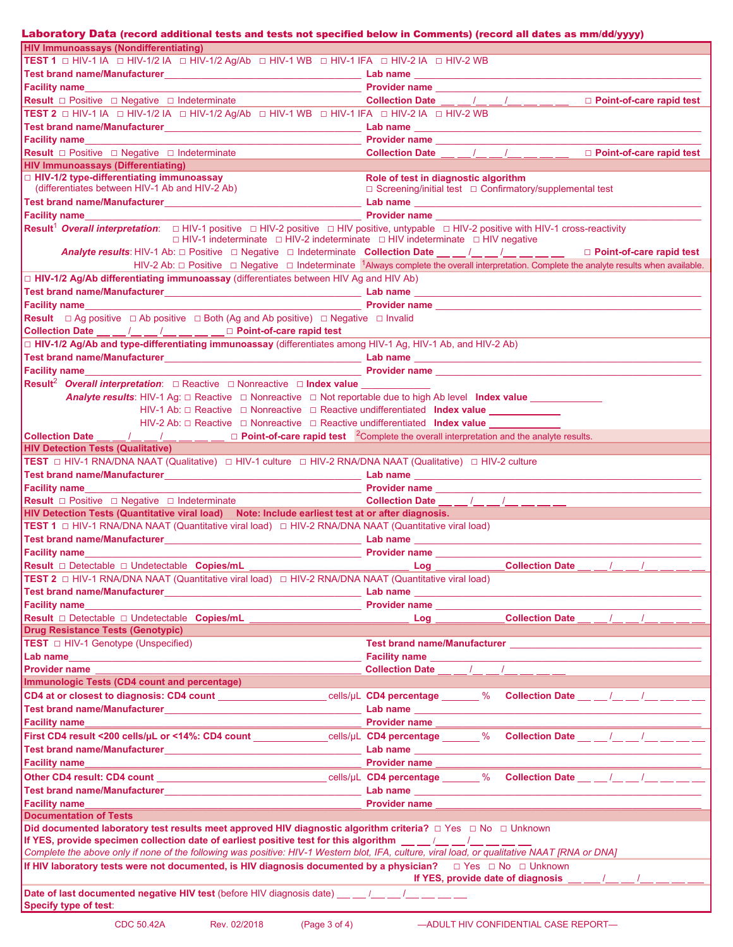| Laboratory Data (record additional tests and tests not specified below in Comments) (record all dates as mm/dd/yyyy)                                                                                                                                                                                                            |                                                                                                                                                                                                                                |
|---------------------------------------------------------------------------------------------------------------------------------------------------------------------------------------------------------------------------------------------------------------------------------------------------------------------------------|--------------------------------------------------------------------------------------------------------------------------------------------------------------------------------------------------------------------------------|
| <b>HIV Immunoassays (Nondifferentiating)</b>                                                                                                                                                                                                                                                                                    |                                                                                                                                                                                                                                |
| TEST 1 O HIV-1 IA O HIV-1/2 IA O HIV-1/2 Ag/Ab O HIV-1 WB O HIV-1 IFA O HIV-2 IA O HIV-2 WB                                                                                                                                                                                                                                     |                                                                                                                                                                                                                                |
|                                                                                                                                                                                                                                                                                                                                 |                                                                                                                                                                                                                                |
|                                                                                                                                                                                                                                                                                                                                 |                                                                                                                                                                                                                                |
| <b>Result</b> □ Positive □ Negative □ Indeterminate                                                                                                                                                                                                                                                                             | Collection Date <u>  / / / / </u> _ / <u>Dependence</u> Dent-of-care rapid test                                                                                                                                                |
| TEST 2 0 HIV-1 IA 0 HIV-1/2 IA 0 HIV-1/2 Ag/Ab 0 HIV-1 WB 0 HIV-1 IFA 0 HIV-2 IA 0 HIV-2 WB                                                                                                                                                                                                                                     |                                                                                                                                                                                                                                |
|                                                                                                                                                                                                                                                                                                                                 |                                                                                                                                                                                                                                |
|                                                                                                                                                                                                                                                                                                                                 |                                                                                                                                                                                                                                |
| Result <b>D</b> Positive D Negative D Indeterminate<br><b>HIV Immunoassays (Differentiating)</b>                                                                                                                                                                                                                                | Collection Date __ _/_ _/_ _/_ __ __ _ □ Point-of-care rapid test                                                                                                                                                              |
| □ HIV-1/2 type-differentiating immunoassay                                                                                                                                                                                                                                                                                      | Role of test in diagnostic algorithm                                                                                                                                                                                           |
| (differentiates between HIV-1 Ab and HIV-2 Ab)                                                                                                                                                                                                                                                                                  | □ Screening/initial test □ Confirmatory/supplemental test                                                                                                                                                                      |
|                                                                                                                                                                                                                                                                                                                                 |                                                                                                                                                                                                                                |
|                                                                                                                                                                                                                                                                                                                                 |                                                                                                                                                                                                                                |
| <b>Result<sup>1</sup></b> Overall interpretation: □ HIV-1 positive □ HIV-2 positive □ HIV positive, untypable □ HIV-2 positive with HIV-1 cross-reactivity                                                                                                                                                                      |                                                                                                                                                                                                                                |
| $\Box$ HIV-1 indeterminate $\Box$ HIV-2 indeterminate $\Box$ HIV indeterminate $\Box$ HIV negative                                                                                                                                                                                                                              |                                                                                                                                                                                                                                |
|                                                                                                                                                                                                                                                                                                                                 |                                                                                                                                                                                                                                |
|                                                                                                                                                                                                                                                                                                                                 | HIV-2 Ab: $\Box$ Positive $\Box$ Negative $\Box$ Indeterminate <sup>1</sup> Always complete the overall interpretation. Complete the analyte results when available.                                                           |
| $\Box$ HIV-1/2 Ag/Ab differentiating immunoassay (differentiates between HIV Ag and HIV Ab)                                                                                                                                                                                                                                     |                                                                                                                                                                                                                                |
|                                                                                                                                                                                                                                                                                                                                 |                                                                                                                                                                                                                                |
| Facility name                                                                                                                                                                                                                                                                                                                   |                                                                                                                                                                                                                                |
| <b>Result</b> $\Box$ Ag positive $\Box$ Ab positive $\Box$ Both (Ag and Ab positive) $\Box$ Negative $\Box$ Invalid                                                                                                                                                                                                             |                                                                                                                                                                                                                                |
| Collection Date __ _ /_ _ _/ __ _ /__ _ _ _ _ D Point-of-care rapid test                                                                                                                                                                                                                                                        |                                                                                                                                                                                                                                |
| HIV-1/2 Ag/Ab and type-differentiating immunoassay (differentiates among HIV-1 Ag, HIV-1 Ab, and HIV-2 Ab)                                                                                                                                                                                                                      |                                                                                                                                                                                                                                |
|                                                                                                                                                                                                                                                                                                                                 |                                                                                                                                                                                                                                |
| <b>Facility name Example 2018 CONSUMING THE CONSUMING CONSUMING THE CONSUMING TEAM</b>                                                                                                                                                                                                                                          |                                                                                                                                                                                                                                |
| <b>Result<sup>2</sup></b> Overall interpretation: $\Box$ Reactive $\Box$ Nonreactive $\Box$ Index value                                                                                                                                                                                                                         |                                                                                                                                                                                                                                |
| <b>Analyte results:</b> HIV-1 Ag: $\Box$ Reactive $\Box$ Nonreactive $\Box$ Not reportable due to high Ab level Index value                                                                                                                                                                                                     |                                                                                                                                                                                                                                |
| HIV-1 Ab: □ Reactive □ Nonreactive □ Reactive undifferentiated Index value ____________                                                                                                                                                                                                                                         |                                                                                                                                                                                                                                |
| HIV-2 Ab: □ Reactive □ Nonreactive □ Reactive undifferentiated Index value                                                                                                                                                                                                                                                      |                                                                                                                                                                                                                                |
| <b>Collection Date</b> $\underline{\hspace{1cm}}$ $\underline{\hspace{1cm}}$ $\underline{\hspace{1cm}}$ $\underline{\hspace{1cm}}$ $\underline{\hspace{1cm}}$ $\underline{\hspace{1cm}}$ $\underline{\hspace{1cm}}$ <b>D Point-of-care rapid test</b> <sup>2</sup> Complete the overall interpretation and the analyte results. |                                                                                                                                                                                                                                |
| <b>HIV Detection Tests (Qualitative)</b>                                                                                                                                                                                                                                                                                        |                                                                                                                                                                                                                                |
| TEST □ HIV-1 RNA/DNA NAAT (Qualitative) □ HIV-1 culture □ HIV-2 RNA/DNA NAAT (Qualitative) □ HIV-2 culture                                                                                                                                                                                                                      |                                                                                                                                                                                                                                |
|                                                                                                                                                                                                                                                                                                                                 |                                                                                                                                                                                                                                |
|                                                                                                                                                                                                                                                                                                                                 |                                                                                                                                                                                                                                |
| <b>Result</b> □ Positive □ Negative □ Indeterminate                                                                                                                                                                                                                                                                             | Collection Date __ _/_ _/_ _ _/_ _ __ _                                                                                                                                                                                        |
| HIV Detection Tests (Quantitative viral load) Note: Include earliest test at or after diagnosis.                                                                                                                                                                                                                                |                                                                                                                                                                                                                                |
| TEST 1 □ HIV-1 RNA/DNA NAAT (Quantitative viral load) □ HIV-2 RNA/DNA NAAT (Quantitative viral load)                                                                                                                                                                                                                            |                                                                                                                                                                                                                                |
|                                                                                                                                                                                                                                                                                                                                 |                                                                                                                                                                                                                                |
| <b>Facility name</b>                                                                                                                                                                                                                                                                                                            |                                                                                                                                                                                                                                |
|                                                                                                                                                                                                                                                                                                                                 | Log _____________________Collection Date __ __ /__ __ /__                                                                                                                                                                      |
| <b>TEST 2</b> □ HIV-1 RNA/DNA NAAT (Quantitative viral load) □ HIV-2 RNA/DNA NAAT (Quantitative viral load)                                                                                                                                                                                                                     |                                                                                                                                                                                                                                |
|                                                                                                                                                                                                                                                                                                                                 |                                                                                                                                                                                                                                |
| Facility name<br><b>Result</b> □ Detectable □ Undetectable Copies/mL                                                                                                                                                                                                                                                            | Provider name<br><b>Collection Date</b> / /                                                                                                                                                                                    |
| <b>Drug Resistance Tests (Genotypic)</b>                                                                                                                                                                                                                                                                                        | $Log$ $\qquad$                                                                                                                                                                                                                 |
| TEST □ HIV-1 Genotype (Unspecified)                                                                                                                                                                                                                                                                                             |                                                                                                                                                                                                                                |
| Lab name                                                                                                                                                                                                                                                                                                                        |                                                                                                                                                                                                                                |
| <b>Provider name</b>                                                                                                                                                                                                                                                                                                            | Collection Date (and a set of the set of the set of the set of the set of the set of the set of the set of the set of the set of the set of the set of the set of the set of the set of the set of the set of the set of the s |
| <b>Immunologic Tests (CD4 count and percentage)</b>                                                                                                                                                                                                                                                                             |                                                                                                                                                                                                                                |
|                                                                                                                                                                                                                                                                                                                                 | CD4 at or closest to diagnosis: CD4 count ______________________cells/µL CD4 percentage _____% Collection Date __ __/__ __/__ __ __                                                                                            |
|                                                                                                                                                                                                                                                                                                                                 |                                                                                                                                                                                                                                |
| <b>Facility name</b>                                                                                                                                                                                                                                                                                                            | <b>Provider name</b>                                                                                                                                                                                                           |
|                                                                                                                                                                                                                                                                                                                                 | First CD4 result <200 cells/µL or <14%: CD4 count _____________cells/µL CD4 percentage _____% Collection Date __ __/_ __/_ __ __ __                                                                                            |
|                                                                                                                                                                                                                                                                                                                                 |                                                                                                                                                                                                                                |
| <b>Facility name</b>                                                                                                                                                                                                                                                                                                            | Provider name                                                                                                                                                                                                                  |
| <u> 1990 - Johann John Stone, markin film yn y brenin y brenin y brenin y brenin y brenin y brenin y brenin y br</u>                                                                                                                                                                                                            |                                                                                                                                                                                                                                |
|                                                                                                                                                                                                                                                                                                                                 |                                                                                                                                                                                                                                |
|                                                                                                                                                                                                                                                                                                                                 | Other CD4 result: CD4 count _______________________________cells/µL CD4 percentage _____% Collection Date __ __/__ __/__ ___ __                                                                                                |
|                                                                                                                                                                                                                                                                                                                                 |                                                                                                                                                                                                                                |
| <b>Facility name</b>                                                                                                                                                                                                                                                                                                            | <b>Provider name</b>                                                                                                                                                                                                           |
| <b>Documentation of Tests</b>                                                                                                                                                                                                                                                                                                   |                                                                                                                                                                                                                                |
| Did documented laboratory test results meet approved HIV diagnostic algorithm criteria? □ Yes □ No □ Unknown                                                                                                                                                                                                                    |                                                                                                                                                                                                                                |
| If YES, provide specimen collection date of earliest positive test for this algorithm __ _/_ /_ _/_ __ /__ __                                                                                                                                                                                                                   |                                                                                                                                                                                                                                |
| Complete the above only if none of the following was positive: HIV-1 Western blot, IFA, culture, viral load, or qualitative NAAT [RNA or DNA]                                                                                                                                                                                   |                                                                                                                                                                                                                                |
|                                                                                                                                                                                                                                                                                                                                 | If YES, provide date of diagnosis and the set of the set of diagnosis of the set of the set of the set of the set of the set of the set of the set of the set of the set of the set of the set of the set of the set of the se |
|                                                                                                                                                                                                                                                                                                                                 |                                                                                                                                                                                                                                |
| Date of last documented negative HIV test (before HIV diagnosis date) __ _ /__ __ /__ __ __ __<br><b>Specify type of test:</b>                                                                                                                                                                                                  |                                                                                                                                                                                                                                |
| <b>CDC 50.42A</b><br>(Page $3$ of $4$ )<br>Rev. 02/2018                                                                                                                                                                                                                                                                         | -ADULT HIV CONFIDENTIAL CASE REPORT-                                                                                                                                                                                           |